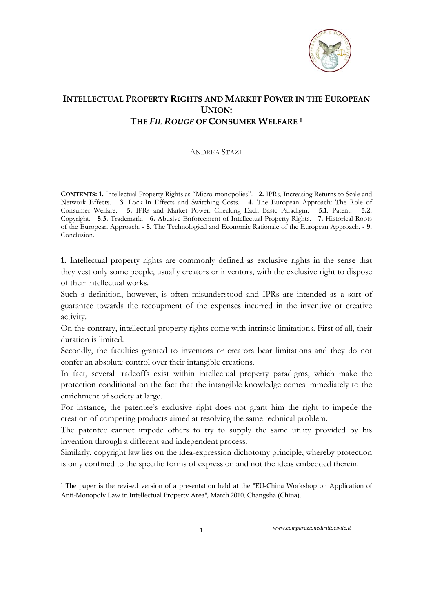

## **INTELLECTUAL PROPERTY RIGHTS AND MARKET POWER IN THE EUROPEAN UNION: THE** *FIL ROUGE* **OF CONSUMER WELFARE 1**

## ANDREA STAZI

**CONTENTS: 1.** Intellectual Property Rights as "Micro-monopolies". - **2.** IPRs, Increasing Returns to Scale and Network Effects. - **3.** Lock-In Effects and Switching Costs. - **4.** The European Approach: The Role of Consumer Welfare. - **5.** IPRs and Market Power: Checking Each Basic Paradigm. - **5.1**. Patent. - **5.2.** Copyright. - **5.3.** Trademark. - **6.** Abusive Enforcement of Intellectual Property Rights. - **7.** Historical Roots of the European Approach. - **8.** The Technological and Economic Rationale of the European Approach. - **9.** Conclusion.

**1.** Intellectual property rights are commonly defined as exclusive rights in the sense that they vest only some people, usually creators or inventors, with the exclusive right to dispose of their intellectual works.

Such a definition, however, is often misunderstood and IPRs are intended as a sort of guarantee towards the recoupment of the expenses incurred in the inventive or creative activity.

On the contrary, intellectual property rights come with intrinsic limitations. First of all, their duration is limited.

Secondly, the faculties granted to inventors or creators bear limitations and they do not confer an absolute control over their intangible creations.

In fact, several tradeoffs exist within intellectual property paradigms, which make the protection conditional on the fact that the intangible knowledge comes immediately to the enrichment of society at large.

For instance, the patentee's exclusive right does not grant him the right to impede the creation of competing products aimed at resolving the same technical problem.

The patentee cannot impede others to try to supply the same utility provided by his invention through a different and independent process.

Similarly, copyright law lies on the idea-expression dichotomy principle, whereby protection is only confined to the specific forms of expression and not the ideas embedded therein.

1

<sup>1</sup> The paper is the revised version of a presentation held at the "EU-China Workshop on Application of Anti-Monopoly Law in Intellectual Property Area", March 2010, Changsha (China).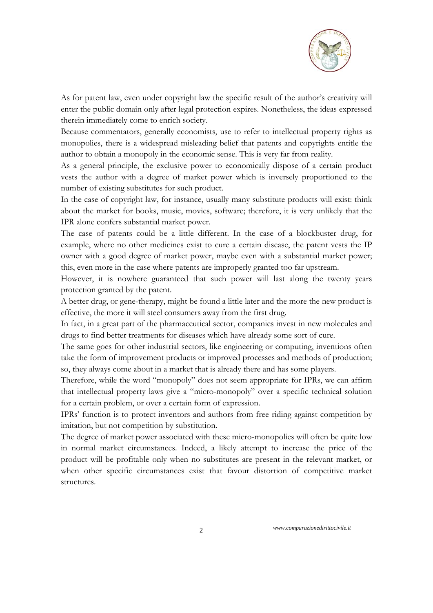

As for patent law, even under copyright law the specific result of the author's creativity will enter the public domain only after legal protection expires. Nonetheless, the ideas expressed therein immediately come to enrich society.

Because commentators, generally economists, use to refer to intellectual property rights as monopolies, there is a widespread misleading belief that patents and copyrights entitle the author to obtain a monopoly in the economic sense. This is very far from reality.

As a general principle, the exclusive power to economically dispose of a certain product vests the author with a degree of market power which is inversely proportioned to the number of existing substitutes for such product.

In the case of copyright law, for instance, usually many substitute products will exist: think about the market for books, music, movies, software; therefore, it is very unlikely that the IPR alone confers substantial market power.

The case of patents could be a little different. In the case of a blockbuster drug, for example, where no other medicines exist to cure a certain disease, the patent vests the IP owner with a good degree of market power, maybe even with a substantial market power; this, even more in the case where patents are improperly granted too far upstream.

However, it is nowhere guaranteed that such power will last along the twenty years protection granted by the patent.

A better drug, or gene-therapy, might be found a little later and the more the new product is effective, the more it will steel consumers away from the first drug.

In fact, in a great part of the pharmaceutical sector, companies invest in new molecules and drugs to find better treatments for diseases which have already some sort of cure.

The same goes for other industrial sectors, like engineering or computing, inventions often take the form of improvement products or improved processes and methods of production; so, they always come about in a market that is already there and has some players.

Therefore, while the word "monopoly" does not seem appropriate for IPRs, we can affirm that intellectual property laws give a "micro-monopoly" over a specific technical solution for a certain problem, or over a certain form of expression.

IPRs' function is to protect inventors and authors from free riding against competition by imitation, but not competition by substitution.

The degree of market power associated with these micro-monopolies will often be quite low in normal market circumstances. Indeed, a likely attempt to increase the price of the product will be profitable only when no substitutes are present in the relevant market, or when other specific circumstances exist that favour distortion of competitive market structures.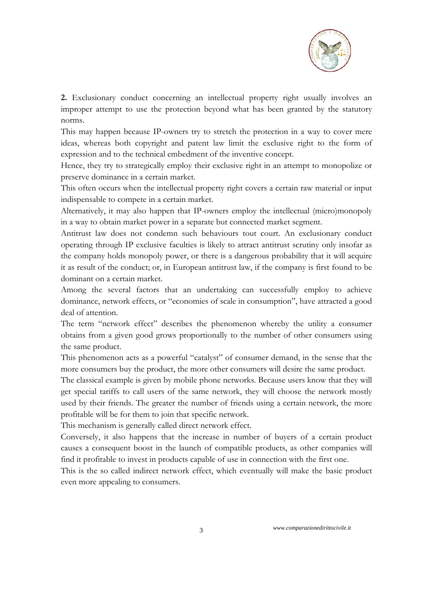

**2.** Exclusionary conduct concerning an intellectual property right usually involves an improper attempt to use the protection beyond what has been granted by the statutory norms.

This may happen because IP-owners try to stretch the protection in a way to cover mere ideas, whereas both copyright and patent law limit the exclusive right to the form of expression and to the technical embedment of the inventive concept.

Hence, they try to strategically employ their exclusive right in an attempt to monopolize or preserve dominance in a certain market.

This often occurs when the intellectual property right covers a certain raw material or input indispensable to compete in a certain market.

Alternatively, it may also happen that IP-owners employ the intellectual (micro)monopoly in a way to obtain market power in a separate but connected market segment.

Antitrust law does not condemn such behaviours tout court. An exclusionary conduct operating through IP exclusive faculties is likely to attract antitrust scrutiny only insofar as the company holds monopoly power, or there is a dangerous probability that it will acquire it as result of the conduct; or, in European antitrust law, if the company is first found to be dominant on a certain market.

Among the several factors that an undertaking can successfully employ to achieve dominance, network effects, or "economies of scale in consumption", have attracted a good deal of attention.

The term "network effect" describes the phenomenon whereby the utility a consumer obtains from a given good grows proportionally to the number of other consumers using the same product.

This phenomenon acts as a powerful "catalyst" of consumer demand, in the sense that the more consumers buy the product, the more other consumers will desire the same product.

The classical example is given by mobile phone networks. Because users know that they will get special tariffs to call users of the same network, they will choose the network mostly used by their friends. The greater the number of friends using a certain network, the more profitable will be for them to join that specific network.

This mechanism is generally called direct network effect.

Conversely, it also happens that the increase in number of buyers of a certain product causes a consequent boost in the launch of compatible products, as other companies will find it profitable to invest in products capable of use in connection with the first one.

This is the so called indirect network effect, which eventually will make the basic product even more appealing to consumers.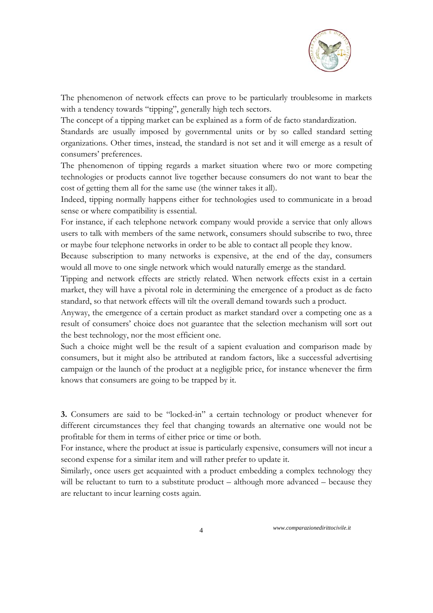

The phenomenon of network effects can prove to be particularly troublesome in markets with a tendency towards "tipping", generally high tech sectors.

The concept of a tipping market can be explained as a form of de facto standardization.

Standards are usually imposed by governmental units or by so called standard setting organizations. Other times, instead, the standard is not set and it will emerge as a result of consumers' preferences.

The phenomenon of tipping regards a market situation where two or more competing technologies or products cannot live together because consumers do not want to bear the cost of getting them all for the same use (the winner takes it all).

Indeed, tipping normally happens either for technologies used to communicate in a broad sense or where compatibility is essential.

For instance, if each telephone network company would provide a service that only allows users to talk with members of the same network, consumers should subscribe to two, three or maybe four telephone networks in order to be able to contact all people they know.

Because subscription to many networks is expensive, at the end of the day, consumers would all move to one single network which would naturally emerge as the standard.

Tipping and network effects are strictly related. When network effects exist in a certain market, they will have a pivotal role in determining the emergence of a product as de facto standard, so that network effects will tilt the overall demand towards such a product.

Anyway, the emergence of a certain product as market standard over a competing one as a result of consumers' choice does not guarantee that the selection mechanism will sort out the best technology, nor the most efficient one.

Such a choice might well be the result of a sapient evaluation and comparison made by consumers, but it might also be attributed at random factors, like a successful advertising campaign or the launch of the product at a negligible price, for instance whenever the firm knows that consumers are going to be trapped by it.

**3.** Consumers are said to be "locked-in" a certain technology or product whenever for different circumstances they feel that changing towards an alternative one would not be profitable for them in terms of either price or time or both.

For instance, where the product at issue is particularly expensive, consumers will not incur a second expense for a similar item and will rather prefer to update it.

Similarly, once users get acquainted with a product embedding a complex technology they will be reluctant to turn to a substitute product – although more advanced – because they are reluctant to incur learning costs again.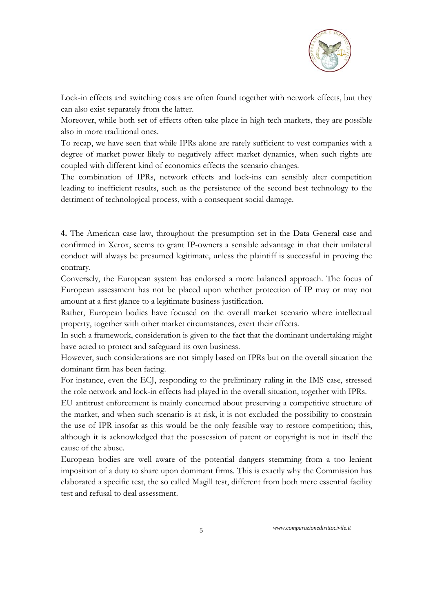

Lock-in effects and switching costs are often found together with network effects, but they can also exist separately from the latter.

Moreover, while both set of effects often take place in high tech markets, they are possible also in more traditional ones.

To recap, we have seen that while IPRs alone are rarely sufficient to vest companies with a degree of market power likely to negatively affect market dynamics, when such rights are coupled with different kind of economics effects the scenario changes.

The combination of IPRs, network effects and lock-ins can sensibly alter competition leading to inefficient results, such as the persistence of the second best technology to the detriment of technological process, with a consequent social damage.

**4.** The American case law, throughout the presumption set in the Data General case and confirmed in Xerox, seems to grant IP-owners a sensible advantage in that their unilateral conduct will always be presumed legitimate, unless the plaintiff is successful in proving the contrary.

Conversely, the European system has endorsed a more balanced approach. The focus of European assessment has not be placed upon whether protection of IP may or may not amount at a first glance to a legitimate business justification.

Rather, European bodies have focused on the overall market scenario where intellectual property, together with other market circumstances, exert their effects.

In such a framework, consideration is given to the fact that the dominant undertaking might have acted to protect and safeguard its own business.

However, such considerations are not simply based on IPRs but on the overall situation the dominant firm has been facing.

For instance, even the ECJ, responding to the preliminary ruling in the IMS case, stressed the role network and lock-in effects had played in the overall situation, together with IPRs.

EU antitrust enforcement is mainly concerned about preserving a competitive structure of the market, and when such scenario is at risk, it is not excluded the possibility to constrain the use of IPR insofar as this would be the only feasible way to restore competition; this, although it is acknowledged that the possession of patent or copyright is not in itself the cause of the abuse.

European bodies are well aware of the potential dangers stemming from a too lenient imposition of a duty to share upon dominant firms. This is exactly why the Commission has elaborated a specific test, the so called Magill test, different from both mere essential facility test and refusal to deal assessment.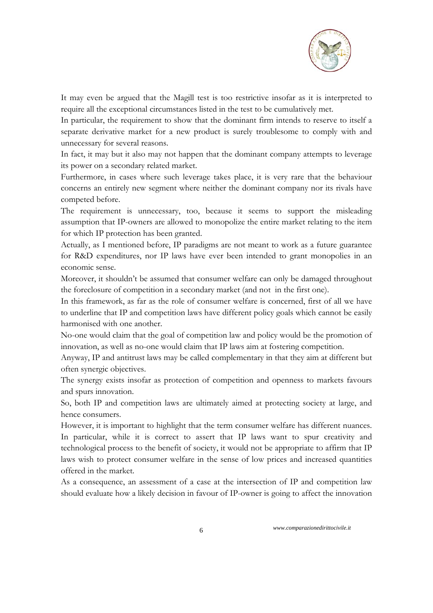

It may even be argued that the Magill test is too restrictive insofar as it is interpreted to require all the exceptional circumstances listed in the test to be cumulatively met.

In particular, the requirement to show that the dominant firm intends to reserve to itself a separate derivative market for a new product is surely troublesome to comply with and unnecessary for several reasons.

In fact, it may but it also may not happen that the dominant company attempts to leverage its power on a secondary related market.

Furthermore, in cases where such leverage takes place, it is very rare that the behaviour concerns an entirely new segment where neither the dominant company nor its rivals have competed before.

The requirement is unnecessary, too, because it seems to support the misleading assumption that IP-owners are allowed to monopolize the entire market relating to the item for which IP protection has been granted.

Actually, as I mentioned before, IP paradigms are not meant to work as a future guarantee for R&D expenditures, nor IP laws have ever been intended to grant monopolies in an economic sense.

Moreover, it shouldn't be assumed that consumer welfare can only be damaged throughout the foreclosure of competition in a secondary market (and not in the first one).

In this framework, as far as the role of consumer welfare is concerned, first of all we have to underline that IP and competition laws have different policy goals which cannot be easily harmonised with one another.

No-one would claim that the goal of competition law and policy would be the promotion of innovation, as well as no-one would claim that IP laws aim at fostering competition.

Anyway, IP and antitrust laws may be called complementary in that they aim at different but often synergic objectives.

The synergy exists insofar as protection of competition and openness to markets favours and spurs innovation.

So, both IP and competition laws are ultimately aimed at protecting society at large, and hence consumers.

However, it is important to highlight that the term consumer welfare has different nuances. In particular, while it is correct to assert that IP laws want to spur creativity and technological process to the benefit of society, it would not be appropriate to affirm that IP laws wish to protect consumer welfare in the sense of low prices and increased quantities offered in the market.

As a consequence, an assessment of a case at the intersection of IP and competition law should evaluate how a likely decision in favour of IP-owner is going to affect the innovation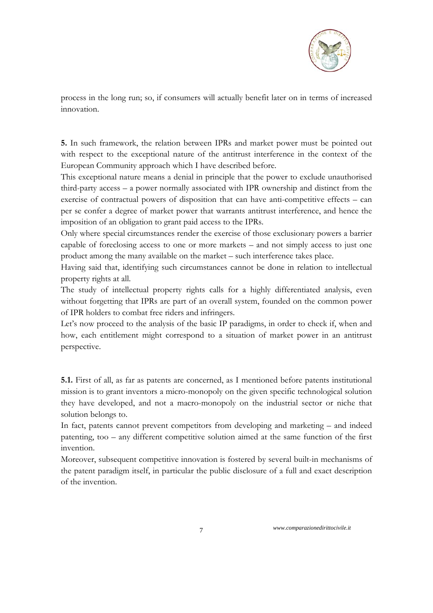

process in the long run; so, if consumers will actually benefit later on in terms of increased innovation.

**5.** In such framework, the relation between IPRs and market power must be pointed out with respect to the exceptional nature of the antitrust interference in the context of the European Community approach which I have described before.

This exceptional nature means a denial in principle that the power to exclude unauthorised third-party access – a power normally associated with IPR ownership and distinct from the exercise of contractual powers of disposition that can have anti-competitive effects – can per se confer a degree of market power that warrants antitrust interference, and hence the imposition of an obligation to grant paid access to the IPRs.

Only where special circumstances render the exercise of those exclusionary powers a barrier capable of foreclosing access to one or more markets – and not simply access to just one product among the many available on the market – such interference takes place.

Having said that, identifying such circumstances cannot be done in relation to intellectual property rights at all.

The study of intellectual property rights calls for a highly differentiated analysis, even without forgetting that IPRs are part of an overall system, founded on the common power of IPR holders to combat free riders and infringers.

Let's now proceed to the analysis of the basic IP paradigms, in order to check if, when and how, each entitlement might correspond to a situation of market power in an antitrust perspective.

**5.1.** First of all, as far as patents are concerned, as I mentioned before patents institutional mission is to grant inventors a micro-monopoly on the given specific technological solution they have developed, and not a macro-monopoly on the industrial sector or niche that solution belongs to.

In fact, patents cannot prevent competitors from developing and marketing – and indeed patenting, too – any different competitive solution aimed at the same function of the first invention.

Moreover, subsequent competitive innovation is fostered by several built-in mechanisms of the patent paradigm itself, in particular the public disclosure of a full and exact description of the invention.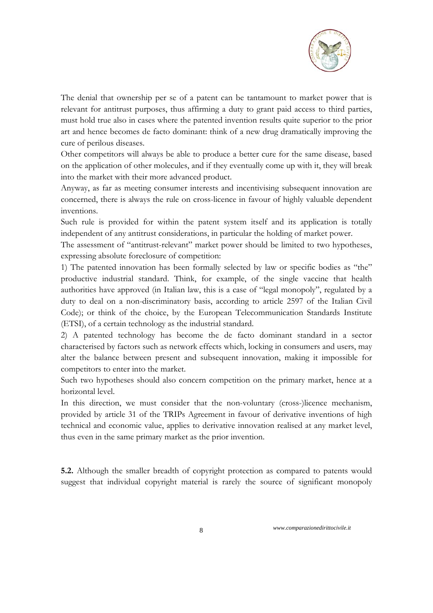

The denial that ownership per se of a patent can be tantamount to market power that is relevant for antitrust purposes, thus affirming a duty to grant paid access to third parties, must hold true also in cases where the patented invention results quite superior to the prior art and hence becomes de facto dominant: think of a new drug dramatically improving the cure of perilous diseases.

Other competitors will always be able to produce a better cure for the same disease, based on the application of other molecules, and if they eventually come up with it, they will break into the market with their more advanced product.

Anyway, as far as meeting consumer interests and incentivising subsequent innovation are concerned, there is always the rule on cross-licence in favour of highly valuable dependent inventions.

Such rule is provided for within the patent system itself and its application is totally independent of any antitrust considerations, in particular the holding of market power.

The assessment of "antitrust-relevant" market power should be limited to two hypotheses, expressing absolute foreclosure of competition:

1) The patented innovation has been formally selected by law or specific bodies as "the" productive industrial standard. Think, for example, of the single vaccine that health authorities have approved (in Italian law, this is a case of "legal monopoly", regulated by a duty to deal on a non-discriminatory basis, according to article 2597 of the Italian Civil Code); or think of the choice, by the European Telecommunication Standards Institute (ETSI), of a certain technology as the industrial standard.

2) A patented technology has become the de facto dominant standard in a sector characterised by factors such as network effects which, locking in consumers and users, may alter the balance between present and subsequent innovation, making it impossible for competitors to enter into the market.

Such two hypotheses should also concern competition on the primary market, hence at a horizontal level.

In this direction, we must consider that the non-voluntary (cross-)licence mechanism, provided by article 31 of the TRIPs Agreement in favour of derivative inventions of high technical and economic value, applies to derivative innovation realised at any market level, thus even in the same primary market as the prior invention.

**5.2.** Although the smaller breadth of copyright protection as compared to patents would suggest that individual copyright material is rarely the source of significant monopoly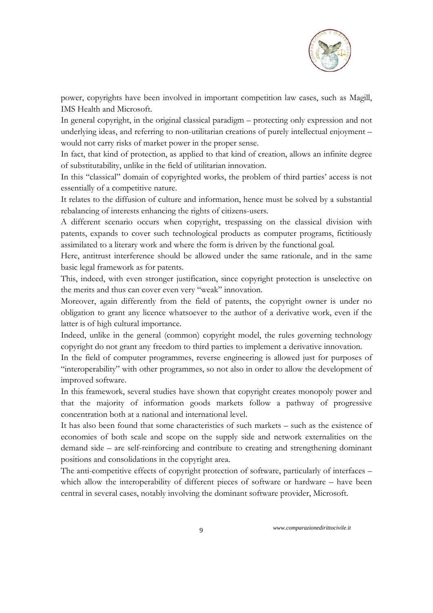

power, copyrights have been involved in important competition law cases, such as Magill, IMS Health and Microsoft.

In general copyright, in the original classical paradigm – protecting only expression and not underlying ideas, and referring to non-utilitarian creations of purely intellectual enjoyment – would not carry risks of market power in the proper sense.

In fact, that kind of protection, as applied to that kind of creation, allows an infinite degree of substitutability, unlike in the field of utilitarian innovation.

In this "classical" domain of copyrighted works, the problem of third parties' access is not essentially of a competitive nature.

It relates to the diffusion of culture and information, hence must be solved by a substantial rebalancing of interests enhancing the rights of citizens-users.

A different scenario occurs when copyright, trespassing on the classical division with patents, expands to cover such technological products as computer programs, fictitiously assimilated to a literary work and where the form is driven by the functional goal.

Here, antitrust interference should be allowed under the same rationale, and in the same basic legal framework as for patents.

This, indeed, with even stronger justification, since copyright protection is unselective on the merits and thus can cover even very "weak" innovation.

Moreover, again differently from the field of patents, the copyright owner is under no obligation to grant any licence whatsoever to the author of a derivative work, even if the latter is of high cultural importance.

Indeed, unlike in the general (common) copyright model, the rules governing technology copyright do not grant any freedom to third parties to implement a derivative innovation.

In the field of computer programmes, reverse engineering is allowed just for purposes of "interoperability" with other programmes, so not also in order to allow the development of improved software.

In this framework, several studies have shown that copyright creates monopoly power and that the majority of information goods markets follow a pathway of progressive concentration both at a national and international level.

It has also been found that some characteristics of such markets – such as the existence of economies of both scale and scope on the supply side and network externalities on the demand side – are self-reinforcing and contribute to creating and strengthening dominant positions and consolidations in the copyright area.

The anti-competitive effects of copyright protection of software, particularly of interfaces – which allow the interoperability of different pieces of software or hardware – have been central in several cases, notably involving the dominant software provider, Microsoft.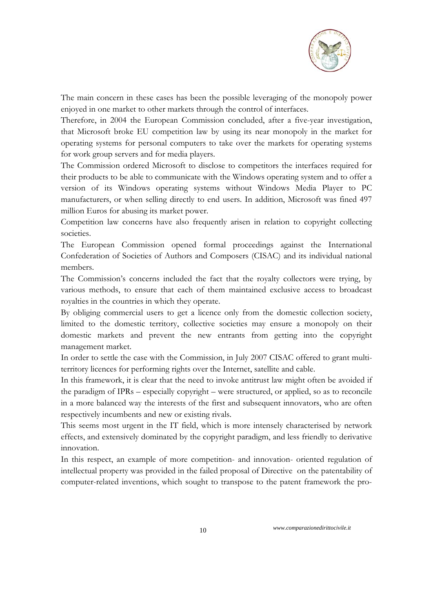

The main concern in these cases has been the possible leveraging of the monopoly power enjoyed in one market to other markets through the control of interfaces.

Therefore, in 2004 the European Commission concluded, after a five-year investigation, that Microsoft broke EU competition law by using its near monopoly in the market for operating systems for personal computers to take over the markets for operating systems for work group servers and for media players.

The Commission ordered Microsoft to disclose to competitors the interfaces required for their products to be able to communicate with the Windows operating system and to offer a version of its Windows operating systems without Windows Media Player to PC manufacturers, or when selling directly to end users. In addition, Microsoft was fined 497 million Euros for abusing its market power.

Competition law concerns have also frequently arisen in relation to copyright collecting societies.

The European Commission opened formal proceedings against the International Confederation of Societies of Authors and Composers (CISAC) and its individual national members.

The Commission's concerns included the fact that the royalty collectors were trying, by various methods, to ensure that each of them maintained exclusive access to broadcast royalties in the countries in which they operate.

By obliging commercial users to get a licence only from the domestic collection society, limited to the domestic territory, collective societies may ensure a monopoly on their domestic markets and prevent the new entrants from getting into the copyright management market.

In order to settle the case with the Commission, in July 2007 CISAC offered to grant multiterritory licences for performing rights over the Internet, satellite and cable.

In this framework, it is clear that the need to invoke antitrust law might often be avoided if the paradigm of IPRs – especially copyright – were structured, or applied, so as to reconcile in a more balanced way the interests of the first and subsequent innovators, who are often respectively incumbents and new or existing rivals.

This seems most urgent in the IT field, which is more intensely characterised by network effects, and extensively dominated by the copyright paradigm, and less friendly to derivative innovation.

In this respect, an example of more competition- and innovation- oriented regulation of intellectual property was provided in the failed proposal of Directive on the patentability of computer-related inventions, which sought to transpose to the patent framework the pro-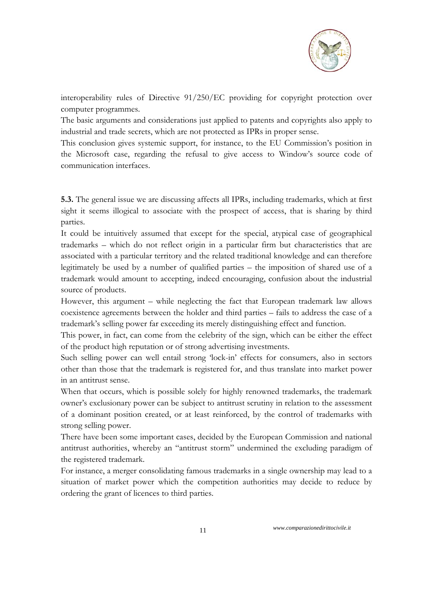

interoperability rules of Directive 91/250/EC providing for copyright protection over computer programmes.

The basic arguments and considerations just applied to patents and copyrights also apply to industrial and trade secrets, which are not protected as IPRs in proper sense.

This conclusion gives systemic support, for instance, to the EU Commission's position in the Microsoft case, regarding the refusal to give access to Window's source code of communication interfaces.

**5.3.** The general issue we are discussing affects all IPRs, including trademarks, which at first sight it seems illogical to associate with the prospect of access, that is sharing by third parties.

It could be intuitively assumed that except for the special, atypical case of geographical trademarks – which do not reflect origin in a particular firm but characteristics that are associated with a particular territory and the related traditional knowledge and can therefore legitimately be used by a number of qualified parties – the imposition of shared use of a trademark would amount to accepting, indeed encouraging, confusion about the industrial source of products.

However, this argument – while neglecting the fact that European trademark law allows coexistence agreements between the holder and third parties – fails to address the case of a trademark's selling power far exceeding its merely distinguishing effect and function.

This power, in fact, can come from the celebrity of the sign, which can be either the effect of the product high reputation or of strong advertising investments.

Such selling power can well entail strong 'lock-in' effects for consumers, also in sectors other than those that the trademark is registered for, and thus translate into market power in an antitrust sense.

When that occurs, which is possible solely for highly renowned trademarks, the trademark owner's exclusionary power can be subject to antitrust scrutiny in relation to the assessment of a dominant position created, or at least reinforced, by the control of trademarks with strong selling power.

There have been some important cases, decided by the European Commission and national antitrust authorities, whereby an "antitrust storm" undermined the excluding paradigm of the registered trademark.

For instance, a merger consolidating famous trademarks in a single ownership may lead to a situation of market power which the competition authorities may decide to reduce by ordering the grant of licences to third parties.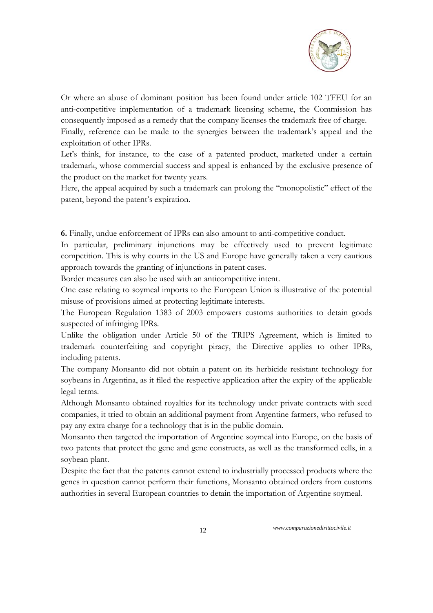

Or where an abuse of dominant position has been found under article 102 TFEU for an anti-competitive implementation of a trademark licensing scheme, the Commission has consequently imposed as a remedy that the company licenses the trademark free of charge.

Finally, reference can be made to the synergies between the trademark's appeal and the exploitation of other IPRs.

Let's think, for instance, to the case of a patented product, marketed under a certain trademark, whose commercial success and appeal is enhanced by the exclusive presence of the product on the market for twenty years.

Here, the appeal acquired by such a trademark can prolong the "monopolistic" effect of the patent, beyond the patent's expiration.

**6.** Finally, undue enforcement of IPRs can also amount to anti-competitive conduct.

In particular, preliminary injunctions may be effectively used to prevent legitimate competition. This is why courts in the US and Europe have generally taken a very cautious approach towards the granting of injunctions in patent cases.

Border measures can also be used with an anticompetitive intent.

One case relating to soymeal imports to the European Union is illustrative of the potential misuse of provisions aimed at protecting legitimate interests.

The European Regulation 1383 of 2003 empowers customs authorities to detain goods suspected of infringing IPRs.

Unlike the obligation under Article 50 of the TRIPS Agreement, which is limited to trademark counterfeiting and copyright piracy, the Directive applies to other IPRs, including patents.

The company Monsanto did not obtain a patent on its herbicide resistant technology for soybeans in Argentina, as it filed the respective application after the expiry of the applicable legal terms.

Although Monsanto obtained royalties for its technology under private contracts with seed companies, it tried to obtain an additional payment from Argentine farmers, who refused to pay any extra charge for a technology that is in the public domain.

Monsanto then targeted the importation of Argentine soymeal into Europe, on the basis of two patents that protect the gene and gene constructs, as well as the transformed cells, in a soybean plant.

Despite the fact that the patents cannot extend to industrially processed products where the genes in question cannot perform their functions, Monsanto obtained orders from customs authorities in several European countries to detain the importation of Argentine soymeal.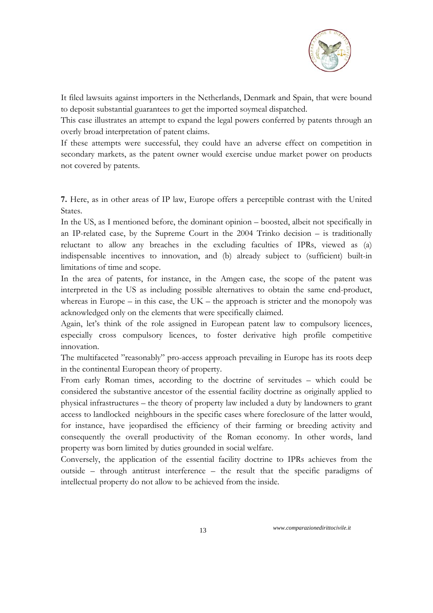

It filed lawsuits against importers in the Netherlands, Denmark and Spain, that were bound to deposit substantial guarantees to get the imported soymeal dispatched.

This case illustrates an attempt to expand the legal powers conferred by patents through an overly broad interpretation of patent claims.

If these attempts were successful, they could have an adverse effect on competition in secondary markets, as the patent owner would exercise undue market power on products not covered by patents.

**7.** Here, as in other areas of IP law, Europe offers a perceptible contrast with the United States.

In the US, as I mentioned before, the dominant opinion – boosted, albeit not specifically in an IP-related case, by the Supreme Court in the 2004 Trinko decision – is traditionally reluctant to allow any breaches in the excluding faculties of IPRs, viewed as (a) indispensable incentives to innovation, and (b) already subject to (sufficient) built-in limitations of time and scope.

In the area of patents, for instance, in the Amgen case, the scope of the patent was interpreted in the US as including possible alternatives to obtain the same end-product, whereas in Europe – in this case, the  $UK -$  the approach is stricter and the monopoly was acknowledged only on the elements that were specifically claimed.

Again, let's think of the role assigned in European patent law to compulsory licences, especially cross compulsory licences, to foster derivative high profile competitive innovation.

The multifaceted "reasonably" pro-access approach prevailing in Europe has its roots deep in the continental European theory of property.

From early Roman times, according to the doctrine of servitudes – which could be considered the substantive ancestor of the essential facility doctrine as originally applied to physical infrastructures – the theory of property law included a duty by landowners to grant access to landlocked neighbours in the specific cases where foreclosure of the latter would, for instance, have jeopardised the efficiency of their farming or breeding activity and consequently the overall productivity of the Roman economy. In other words, land property was born limited by duties grounded in social welfare.

Conversely, the application of the essential facility doctrine to IPRs achieves from the outside – through antitrust interference – the result that the specific paradigms of intellectual property do not allow to be achieved from the inside.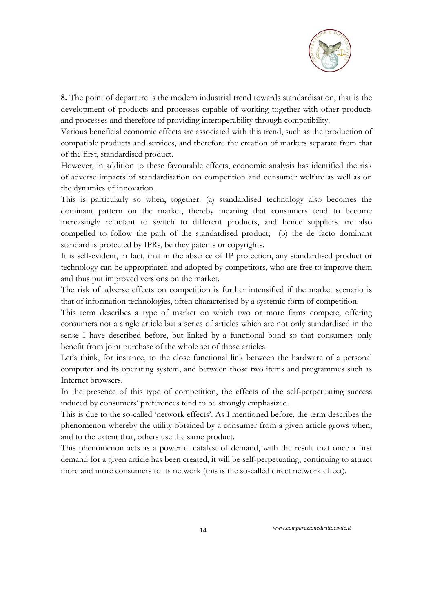

**8.** The point of departure is the modern industrial trend towards standardisation, that is the development of products and processes capable of working together with other products and processes and therefore of providing interoperability through compatibility.

Various beneficial economic effects are associated with this trend, such as the production of compatible products and services, and therefore the creation of markets separate from that of the first, standardised product.

However, in addition to these favourable effects, economic analysis has identified the risk of adverse impacts of standardisation on competition and consumer welfare as well as on the dynamics of innovation.

This is particularly so when, together: (a) standardised technology also becomes the dominant pattern on the market, thereby meaning that consumers tend to become increasingly reluctant to switch to different products, and hence suppliers are also compelled to follow the path of the standardised product; (b) the de facto dominant standard is protected by IPRs, be they patents or copyrights.

It is self-evident, in fact, that in the absence of IP protection, any standardised product or technology can be appropriated and adopted by competitors, who are free to improve them and thus put improved versions on the market.

The risk of adverse effects on competition is further intensified if the market scenario is that of information technologies, often characterised by a systemic form of competition.

This term describes a type of market on which two or more firms compete, offering consumers not a single article but a series of articles which are not only standardised in the sense I have described before, but linked by a functional bond so that consumers only benefit from joint purchase of the whole set of those articles.

Let's think, for instance, to the close functional link between the hardware of a personal computer and its operating system, and between those two items and programmes such as Internet browsers.

In the presence of this type of competition, the effects of the self-perpetuating success induced by consumers' preferences tend to be strongly emphasized.

This is due to the so-called 'network effects'. As I mentioned before, the term describes the phenomenon whereby the utility obtained by a consumer from a given article grows when, and to the extent that, others use the same product.

This phenomenon acts as a powerful catalyst of demand, with the result that once a first demand for a given article has been created, it will be self-perpetuating, continuing to attract more and more consumers to its network (this is the so-called direct network effect).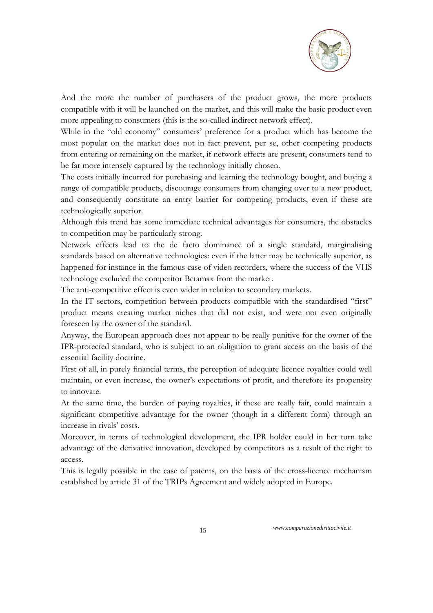

And the more the number of purchasers of the product grows, the more products compatible with it will be launched on the market, and this will make the basic product even more appealing to consumers (this is the so-called indirect network effect).

While in the "old economy" consumers' preference for a product which has become the most popular on the market does not in fact prevent, per se, other competing products from entering or remaining on the market, if network effects are present, consumers tend to be far more intensely captured by the technology initially chosen.

The costs initially incurred for purchasing and learning the technology bought, and buying a range of compatible products, discourage consumers from changing over to a new product, and consequently constitute an entry barrier for competing products, even if these are technologically superior.

Although this trend has some immediate technical advantages for consumers, the obstacles to competition may be particularly strong.

Network effects lead to the de facto dominance of a single standard, marginalising standards based on alternative technologies: even if the latter may be technically superior, as happened for instance in the famous case of video recorders, where the success of the VHS technology excluded the competitor Betamax from the market.

The anti-competitive effect is even wider in relation to secondary markets.

In the IT sectors, competition between products compatible with the standardised "first" product means creating market niches that did not exist, and were not even originally foreseen by the owner of the standard.

Anyway, the European approach does not appear to be really punitive for the owner of the IPR-protected standard, who is subject to an obligation to grant access on the basis of the essential facility doctrine.

First of all, in purely financial terms, the perception of adequate licence royalties could well maintain, or even increase, the owner's expectations of profit, and therefore its propensity to innovate.

At the same time, the burden of paying royalties, if these are really fair, could maintain a significant competitive advantage for the owner (though in a different form) through an increase in rivals' costs.

Moreover, in terms of technological development, the IPR holder could in her turn take advantage of the derivative innovation, developed by competitors as a result of the right to access.

This is legally possible in the case of patents, on the basis of the cross-licence mechanism established by article 31 of the TRIPs Agreement and widely adopted in Europe.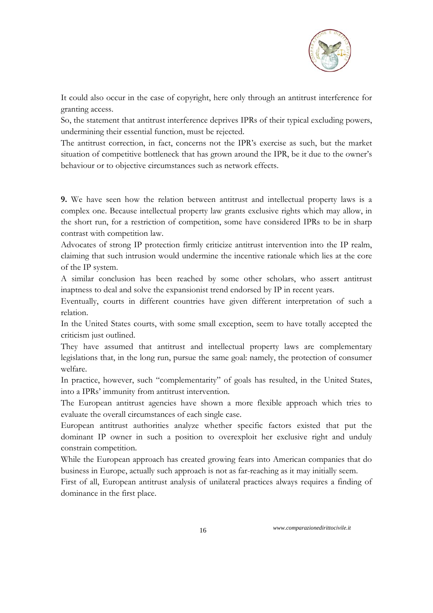

It could also occur in the case of copyright, here only through an antitrust interference for granting access.

So, the statement that antitrust interference deprives IPRs of their typical excluding powers, undermining their essential function, must be rejected.

The antitrust correction, in fact, concerns not the IPR's exercise as such, but the market situation of competitive bottleneck that has grown around the IPR, be it due to the owner's behaviour or to objective circumstances such as network effects.

**9.** We have seen how the relation between antitrust and intellectual property laws is a complex one. Because intellectual property law grants exclusive rights which may allow, in the short run, for a restriction of competition, some have considered IPRs to be in sharp contrast with competition law.

Advocates of strong IP protection firmly criticize antitrust intervention into the IP realm, claiming that such intrusion would undermine the incentive rationale which lies at the core of the IP system.

A similar conclusion has been reached by some other scholars, who assert antitrust inaptness to deal and solve the expansionist trend endorsed by IP in recent years.

Eventually, courts in different countries have given different interpretation of such a relation.

In the United States courts, with some small exception, seem to have totally accepted the criticism just outlined.

They have assumed that antitrust and intellectual property laws are complementary legislations that, in the long run, pursue the same goal: namely, the protection of consumer welfare.

In practice, however, such "complementarity" of goals has resulted, in the United States, into a IPRs' immunity from antitrust intervention.

The European antitrust agencies have shown a more flexible approach which tries to evaluate the overall circumstances of each single case.

European antitrust authorities analyze whether specific factors existed that put the dominant IP owner in such a position to overexploit her exclusive right and unduly constrain competition.

While the European approach has created growing fears into American companies that do business in Europe, actually such approach is not as far-reaching as it may initially seem.

First of all, European antitrust analysis of unilateral practices always requires a finding of dominance in the first place.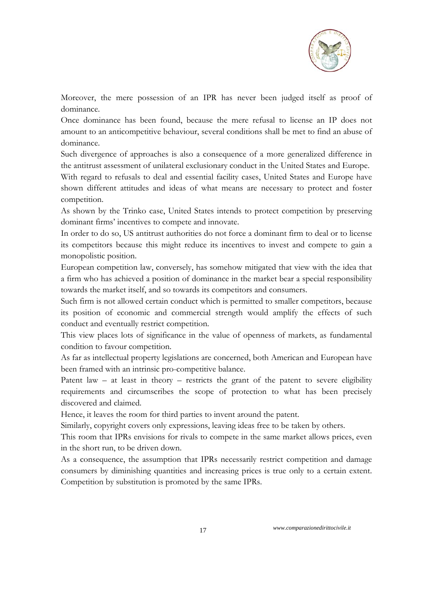

Moreover, the mere possession of an IPR has never been judged itself as proof of dominance.

Once dominance has been found, because the mere refusal to license an IP does not amount to an anticompetitive behaviour, several conditions shall be met to find an abuse of dominance.

Such divergence of approaches is also a consequence of a more generalized difference in the antitrust assessment of unilateral exclusionary conduct in the United States and Europe.

With regard to refusals to deal and essential facility cases, United States and Europe have shown different attitudes and ideas of what means are necessary to protect and foster competition.

As shown by the Trinko case, United States intends to protect competition by preserving dominant firms' incentives to compete and innovate.

In order to do so, US antitrust authorities do not force a dominant firm to deal or to license its competitors because this might reduce its incentives to invest and compete to gain a monopolistic position.

European competition law, conversely, has somehow mitigated that view with the idea that a firm who has achieved a position of dominance in the market bear a special responsibility towards the market itself, and so towards its competitors and consumers.

Such firm is not allowed certain conduct which is permitted to smaller competitors, because its position of economic and commercial strength would amplify the effects of such conduct and eventually restrict competition.

This view places lots of significance in the value of openness of markets, as fundamental condition to favour competition.

As far as intellectual property legislations are concerned, both American and European have been framed with an intrinsic pro-competitive balance.

Patent law – at least in theory – restricts the grant of the patent to severe eligibility requirements and circumscribes the scope of protection to what has been precisely discovered and claimed.

Hence, it leaves the room for third parties to invent around the patent.

Similarly, copyright covers only expressions, leaving ideas free to be taken by others.

This room that IPRs envisions for rivals to compete in the same market allows prices, even in the short run, to be driven down.

As a consequence, the assumption that IPRs necessarily restrict competition and damage consumers by diminishing quantities and increasing prices is true only to a certain extent. Competition by substitution is promoted by the same IPRs.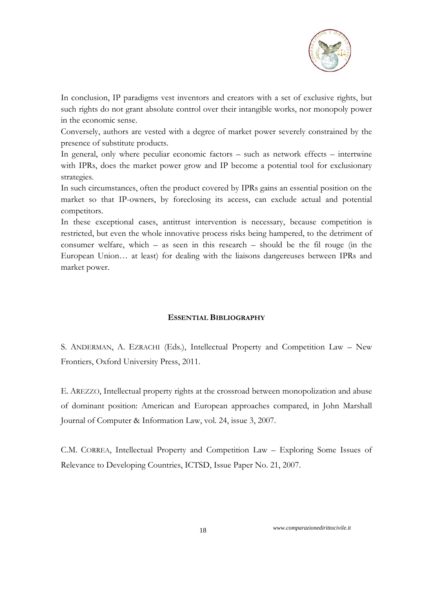

In conclusion, IP paradigms vest inventors and creators with a set of exclusive rights, but such rights do not grant absolute control over their intangible works, nor monopoly power in the economic sense.

Conversely, authors are vested with a degree of market power severely constrained by the presence of substitute products.

In general, only where peculiar economic factors – such as network effects – intertwine with IPRs, does the market power grow and IP become a potential tool for exclusionary strategies.

In such circumstances, often the product covered by IPRs gains an essential position on the market so that IP-owners, by foreclosing its access, can exclude actual and potential competitors.

In these exceptional cases, antitrust intervention is necessary, because competition is restricted, but even the whole innovative process risks being hampered, to the detriment of consumer welfare, which – as seen in this research – should be the fil rouge (in the European Union… at least) for dealing with the liaisons dangereuses between IPRs and market power.

## **ESSENTIAL BIBLIOGRAPHY**

S. ANDERMAN, A. EZRACHI (Eds.), Intellectual Property and Competition Law – New Frontiers, Oxford University Press, 2011.

E. AREZZO, Intellectual property rights at the crossroad between monopolization and abuse of dominant position: American and European approaches compared, in John Marshall Journal of Computer & Information Law, vol. 24, issue 3, 2007.

C.M. CORREA, Intellectual Property and Competition Law – Exploring Some Issues of Relevance to Developing Countries, ICTSD, Issue Paper No. 21, 2007.

18 *www.comparazionedirittocivile.it*